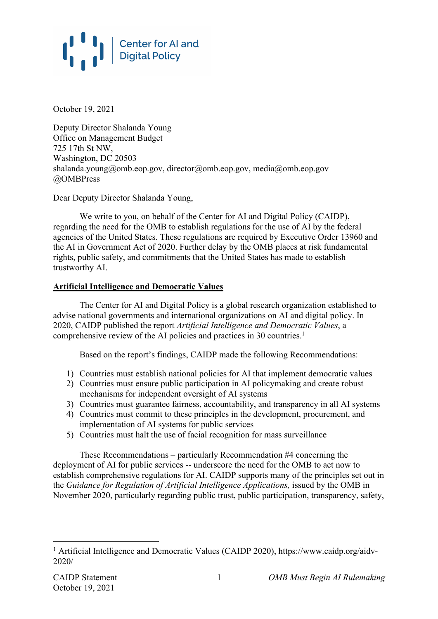

October 19, 2021

Deputy Director Shalanda Young Office on Management Budget 725 17th St NW, Washington, DC 20503 shalanda.young@omb.eop.gov, director@omb.eop.gov, media@omb.eop.gov @OMBPress

Dear Deputy Director Shalanda Young,

We write to you, on behalf of the Center for AI and Digital Policy (CAIDP). regarding the need for the OMB to establish regulations for the use of AI by the federal agencies of the United States. These regulations are required by Executive Order 13960 and the AI in Government Act of 2020. Further delay by the OMB places at risk fundamental rights, public safety, and commitments that the United States has made to establish trustworthy AI.

#### **Artificial Intelligence and Democratic Values**

The Center for AI and Digital Policy is a global research organization established to advise national governments and international organizations on AI and digital policy. In 2020, CAIDP published the report *Artificial Intelligence and Democratic Values*, a comprehensive review of the AI policies and practices in 30 countries.<sup>1</sup>

Based on the report's findings, CAIDP made the following Recommendations:

- 1) Countries must establish national policies for AI that implement democratic values
- 2) Countries must ensure public participation in AI policymaking and create robust mechanisms for independent oversight of AI systems
- 3) Countries must guarantee fairness, accountability, and transparency in all AI systems
- 4) Countries must commit to these principles in the development, procurement, and implementation of AI systems for public services
- 5) Countries must halt the use of facial recognition for mass surveillance

These Recommendations – particularly Recommendation #4 concerning the deployment of AI for public services -- underscore the need for the OMB to act now to establish comprehensive regulations for AI. CAIDP supports many of the principles set out in the *Guidance for Regulation of Artificial Intelligence Applications,* issued by the OMB in November 2020, particularly regarding public trust, public participation, transparency, safety,

<sup>&</sup>lt;sup>1</sup> Artificial Intelligence and Democratic Values (CAIDP 2020), https://www.caidp.org/aidv-2020/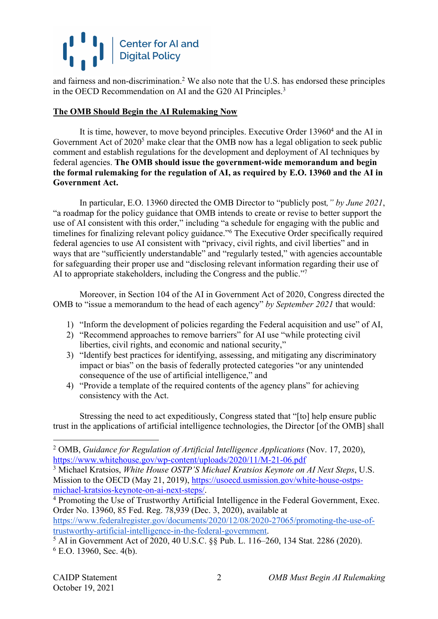## **Center for AI and<br>Digital Policy**

and fairness and non-discrimination.<sup>2</sup> We also note that the U.S. has endorsed these principles in the OECD Recommendation on AI and the G20 AI Principles.<sup>3</sup>

### **The OMB Should Begin the AI Rulemaking Now**

It is time, however, to move beyond principles. Executive Order 13960<sup>4</sup> and the AI in Government Act of  $2020^5$  make clear that the OMB now has a legal obligation to seek public comment and establish regulations for the development and deployment of AI techniques by federal agencies. **The OMB should issue the government-wide memorandum and begin the formal rulemaking for the regulation of AI, as required by E.O. 13960 and the AI in Government Act.**

In particular, E.O. 13960 directed the OMB Director to "publicly post*," by June 2021*, "a roadmap for the policy guidance that OMB intends to create or revise to better support the use of AI consistent with this order," including "a schedule for engaging with the public and timelines for finalizing relevant policy guidance."6 The Executive Order specifically required federal agencies to use AI consistent with "privacy, civil rights, and civil liberties" and in ways that are "sufficiently understandable" and "regularly tested," with agencies accountable for safeguarding their proper use and "disclosing relevant information regarding their use of AI to appropriate stakeholders, including the Congress and the public."<sup>7</sup>

Moreover, in Section 104 of the AI in Government Act of 2020, Congress directed the OMB to "issue a memorandum to the head of each agency" *by September 2021* that would:

- 1) "Inform the development of policies regarding the Federal acquisition and use" of AI,
- 2) "Recommend approaches to remove barriers" for AI use "while protecting civil liberties, civil rights, and economic and national security,"
- 3) "Identify best practices for identifying, assessing, and mitigating any discriminatory impact or bias" on the basis of federally protected categories "or any unintended consequence of the use of artificial intelligence," and
- 4) "Provide a template of the required contents of the agency plans" for achieving consistency with the Act.

Stressing the need to act expeditiously, Congress stated that "[to] help ensure public trust in the applications of artificial intelligence technologies, the Director [of the OMB] shall

Order No. 13960, 85 Fed. Reg. 78,939 (Dec. 3, 2020), available at https://www.federalregister.gov/documents/2020/12/08/2020-27065/promoting-the-use-of-

<sup>2</sup> OMB, *Guidance for Regulation of Artificial Intelligence Applications* (Nov. 17, 2020), https://www.whitehouse.gov/wp-content/uploads/2020/11/M-21-06.pdf

<sup>3</sup> Michael Kratsios, *White House OSTP'S Michael Kratsios Keynote on AI Next Steps*, U.S. Mission to the OECD (May 21, 2019), https://usoecd.usmission.gov/white-house-ostpsmichael-kratsios-keynote-on-ai-next-steps/.<br><sup>4</sup> Promoting the Use of Trustworthy Artificial Intelligence in the Federal Government, Exec.

trustworthy-artificial-intelligence-in-the-federal-government. 5 AI in Government Act of 2020, 40 U.S.C. §§ Pub. L. 116–260, 134 Stat. 2286 (2020).  $6$  E.O. 13960, Sec. 4(b).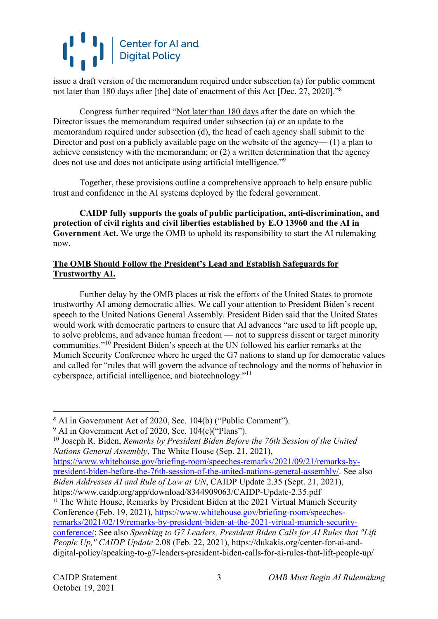# Center for AI and<br>Digital Policy

issue a draft version of the memorandum required under subsection (a) for public comment not later than 180 days after [the] date of enactment of this Act [Dec. 27, 2020]."8

Congress further required "Not later than 180 days after the date on which the Director issues the memorandum required under subsection (a) or an update to the memorandum required under subsection (d), the head of each agency shall submit to the Director and post on a publicly available page on the website of the agency— (1) a plan to achieve consistency with the memorandum; or (2) a written determination that the agency does not use and does not anticipate using artificial intelligence."9

Together, these provisions outline a comprehensive approach to help ensure public trust and confidence in the AI systems deployed by the federal government.

**CAIDP fully supports the goals of public participation, anti-discrimination, and protection of civil rights and civil liberties established by E.O 13960 and the AI in Government Act.** We urge the OMB to uphold its responsibility to start the AI rulemaking now.

### **The OMB Should Follow the President's Lead and Establish Safeguards for Trustworthy AI.**

Further delay by the OMB places at risk the efforts of the United States to promote trustworthy AI among democratic allies. We call your attention to President Biden's recent speech to the United Nations General Assembly. President Biden said that the United States would work with democratic partners to ensure that AI advances "are used to lift people up, to solve problems, and advance human freedom — not to suppress dissent or target minority communities."10 President Biden's speech at the UN followed his earlier remarks at the Munich Security Conference where he urged the G7 nations to stand up for democratic values and called for "rules that will govern the advance of technology and the norms of behavior in cyberspace, artificial intelligence, and biotechnology."11

<sup>10</sup> Joseph R. Biden, *Remarks by President Biden Before the 76th Session of the United Nations General Assembly*, The White House (Sep. 21, 2021),

https://www.whitehouse.gov/briefing-room/speeches-remarks/2021/09/21/remarks-bypresident-biden-before-the-76th-session-of-the-united-nations-general-assembly/. See also *Biden Addresses AI and Rule of Law at UN*, CAIDP Update 2.35 (Sept. 21, 2021), https://www.caidp.org/app/download/8344909063/CAIDP-Update-2.35.pdf

<sup>11</sup> The White House, Remarks by President Biden at the 2021 Virtual Munich Security Conference (Feb. 19, 2021), https://www.whitehouse.gov/briefing-room/speechesremarks/2021/02/19/remarks-by-president-biden-at-the-2021-virtual-munich-securityconference/; See also *Speaking to G7 Leaders, President Biden Calls for AI Rules that "Lift People Up," CAIDP Update* 2.08 (Feb. 22, 2021), https://dukakis.org/center-for-ai-anddigital-policy/speaking-to-g7-leaders-president-biden-calls-for-ai-rules-that-lift-people-up/

*<sup>8</sup>* AI in Government Act of 2020, Sec. 104(b) ("Public Comment").

<sup>9</sup> AI in Government Act of 2020, Sec. 104(c)("Plans").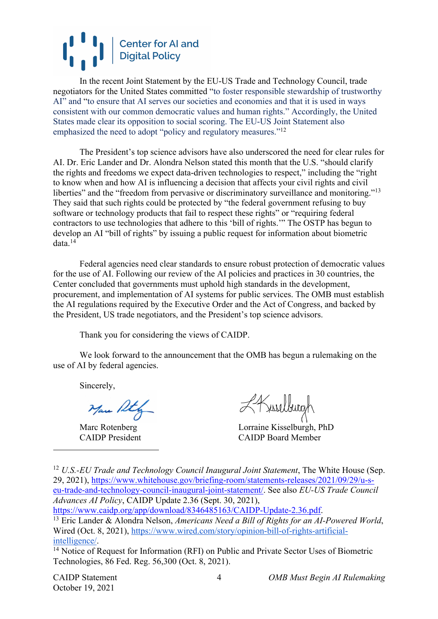## **Center for AI and<br>Digital Policy**

In the recent Joint Statement by the EU-US Trade and Technology Council, trade negotiators for the United States committed "to foster responsible stewardship of trustworthy AI" and "to ensure that AI serves our societies and economies and that it is used in ways consistent with our common democratic values and human rights." Accordingly, the United States made clear its opposition to social scoring. The EU-US Joint Statement also emphasized the need to adopt "policy and regulatory measures."<sup>12</sup>

The President's top science advisors have also underscored the need for clear rules for AI. Dr. Eric Lander and Dr. Alondra Nelson stated this month that the U.S. "should clarify the rights and freedoms we expect data-driven technologies to respect," including the "right to know when and how AI is influencing a decision that affects your civil rights and civil liberties" and the "freedom from pervasive or discriminatory surveillance and monitoring."<sup>13</sup> They said that such rights could be protected by "the federal government refusing to buy software or technology products that fail to respect these rights" or "requiring federal contractors to use technologies that adhere to this 'bill of rights.'" The OSTP has begun to develop an AI "bill of rights" by issuing a public request for information about biometric data.14

Federal agencies need clear standards to ensure robust protection of democratic values for the use of AI. Following our review of the AI policies and practices in 30 countries, the Center concluded that governments must uphold high standards in the development, procurement, and implementation of AI systems for public services. The OMB must establish the AI regulations required by the Executive Order and the Act of Congress, and backed by the President, US trade negotiators, and the President's top science advisors.

Thank you for considering the views of CAIDP.

We look forward to the announcement that the OMB has begun a rulemaking on the use of AI by federal agencies.

Sincerely,

Mar Ath

Kriselburgh

Marc Rotenberg Lorraine Kisselburgh, PhD CAIDP President CAIDP Board Member

<sup>12</sup> U.S.-EU Trade and Technology Council Inaugural Joint Statement, The White House (Sep. 29, 2021), https://www.whitehouse.gov/briefing-room/statements-releases/2021/09/29/u-seu-trade-and-technology-council-inaugural-joint-statement/. See also *EU-US Trade Council Advances AI Policy*, CAIDP Update 2.36 (Sept. 30, 2021),

https://www.caidp.org/app/download/8346485163/CAIDP-Update-2.36.pdf. 13 Eric Lander & Alondra Nelson, *Americans Need a Bill of Rights for an AI-Powered World*,

October 19, 2021

CAIDP Statement *OMB Must Begin AI Rulemaking*

Wired (Oct. 8, 2021), https://www.wired.com/story/opinion-bill-of-rights-artificialintelligence/. 14 Notice of Request for Information (RFI) on Public and Private Sector Uses of Biometric

Technologies, 86 Fed. Reg. 56,300 (Oct. 8, 2021).